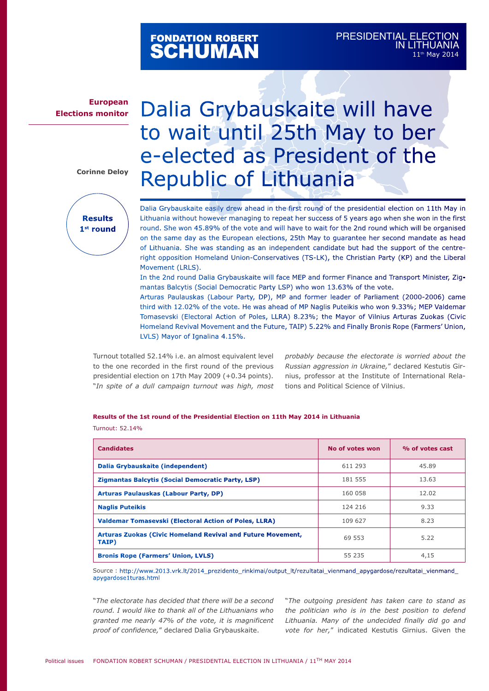# FONDATION ROBERT<br>**SCHUMAN**

## **European Elections monitor**

#### **Corinne Deloy**



# Dalia Grybauskaite will have to wait until 25th May to ber e-elected as President of the Republic of Lithuania

Dalia Grybauskaite easily drew ahead in the first round of the presidential election on 11th May in Lithuania without however managing to repeat her success of 5 years ago when she won in the first round. She won 45.89% of the vote and will have to wait for the 2nd round which will be organised on the same day as the European elections, 25th May to guarantee her second mandate as head of Lithuania. She was standing as an independent candidate but had the support of the centreright opposition Homeland Union-Conservatives (TS-LK), the Christian Party (KP) and the Liberal Movement (LRLS).

In the 2nd round Dalia Grybauskaite will face MEP and former Finance and Transport Minister, Zigmantas Balcytis (Social Democratic Party LSP) who won 13.63% of the vote.

Arturas Paulauskas (Labour Party, DP), MP and former leader of Parliament (2000-2006) came third with 12.02% of the vote. He was ahead of MP Naglis Puteikis who won 9.33%; MEP Valdemar Tomasevski (Electoral Action of Poles, LLRA) 8.23%; the Mayor of Vilnius Arturas Zuokas (Civic Homeland Revival Movement and the Future, TAIP) 5.22% and Finally Bronis Rope (Farmers' Union, LVLS) Mayor of Ignalina 4.15%.

Turnout totalled 52.14% i.e. an almost equivalent level to the one recorded in the first round of the previous presidential election on 17th May 2009 (+0.34 points). "*In spite of a dull campaign turnout was high, most* 

*probably because the electorate is worried about the Russian aggression in Ukraine,*" declared Kestutis Girnius, professor at the Institute of International Relations and Political Science of Vilnius.

### **Results of the 1st round of the Presidential Election on 11th May 2014 in Lithuania** Turnout: 52.14%

| <b>Candidates</b>                                                    | No of votes won | % of votes cast |
|----------------------------------------------------------------------|-----------------|-----------------|
| Dalia Grybauskaite (independent)                                     | 611 293         | 45.89           |
| Zigmantas Balcytis (Social Democratic Party, LSP)                    | 181 555         | 13.63           |
| <b>Arturas Paulauskas (Labour Party, DP)</b>                         | 160 058         | 12.02           |
| <b>Naglis Puteikis</b>                                               | 124 216         | 9.33            |
| Valdemar Tomasevski (Electoral Action of Poles, LLRA)                | 109 627         | 8.23            |
| Arturas Zuokas (Civic Homeland Revival and Future Movement,<br>TAIP) | 69 553          | 5.22            |
| <b>Bronis Rope (Farmers' Union, LVLS)</b>                            | 55 235          | 4,15            |

Source : http://www.2013.vrk.lt/2014\_prezidento\_rinkimai/output\_lt/rezultatai\_vienmand\_apygardose/rezultatai\_vienmand\_ apygardose1turas.html

"*The electorate has decided that there will be a second round. I would like to thank all of the Lithuanians who granted me nearly 47% of the vote, it is magnificent proof of confidence,*" declared Dalia Grybauskaite.

"*The outgoing president has taken care to stand as the politician who is in the best position to defend Lithuania. Many of the undecided finally did go and vote for her,*" indicated Kestutis Girnius. Given the